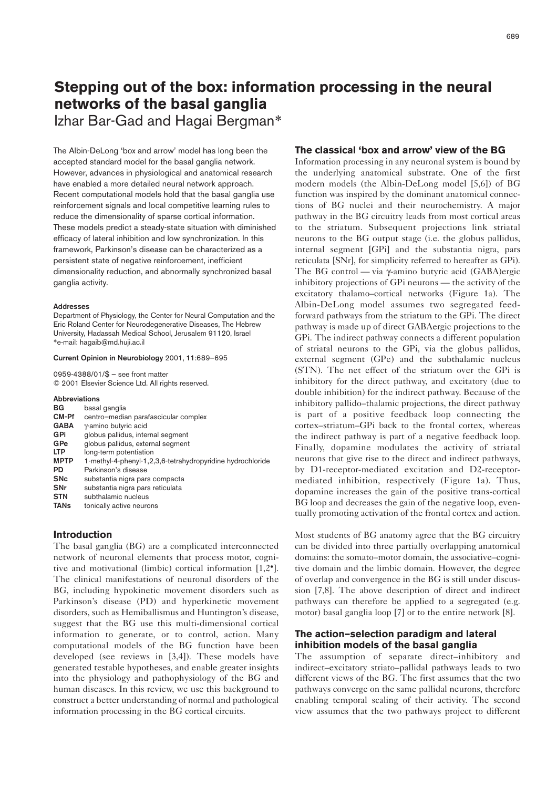# **Stepping out of the box: information processing in the neural networks of the basal ganglia**

Izhar Bar-Gad and Hagai Bergman\*

The Albin-DeLong 'box and arrow' model has long been the accepted standard model for the basal ganglia network. However, advances in physiological and anatomical research have enabled a more detailed neural network approach. Recent computational models hold that the basal ganglia use reinforcement signals and local competitive learning rules to reduce the dimensionality of sparse cortical information. These models predict a steady-state situation with diminished efficacy of lateral inhibition and low synchronization. In this framework, Parkinson's disease can be characterized as a persistent state of negative reinforcement, inefficient dimensionality reduction, and abnormally synchronized basal ganglia activity.

## **Addresses**

Department of Physiology, the Center for Neural Computation and the Eric Roland Center for Neurodegenerative Diseases, The Hebrew University, Hadassah Medical School, Jerusalem 91120, Israel \*e-mail: hagaib@md.huji.ac.il

#### **Current Opinion in Neurobiology** 2001, **11**:689–695

0959-4388/01/\$ — see front matter © 2001 Elsevier Science Ltd. All rights reserved.

#### **Abbreviations**

| BG          | basal ganglia                                              |
|-------------|------------------------------------------------------------|
| CM-Pf       | centro-median parafascicular complex                       |
| <b>GABA</b> | y-amino butyric acid                                       |
| GPi         | globus pallidus, internal segment                          |
| GPe         | globus pallidus, external segment                          |
| <b>LTP</b>  | long-term potentiation                                     |
| <b>MPTP</b> | 1-methyl-4-phenyl-1,2,3,6-tetrahydropyridine hydrochloride |
| PD          | Parkinson's disease                                        |
| <b>SNc</b>  | substantia nigra pars compacta                             |
| SNr         | substantia nigra pars reticulata                           |
| <b>STN</b>  | subthalamic nucleus                                        |
| TANs        | tonically active neurons                                   |

# **Introduction**

The basal ganglia (BG) are a complicated interconnected network of neuronal elements that process motor, cognitive and motivational (limbic) cortical information [1,2•]. The clinical manifestations of neuronal disorders of the BG, including hypokinetic movement disorders such as Parkinson's disease (PD) and hyperkinetic movement disorders, such as Hemiballismus and Huntington's disease, suggest that the BG use this multi-dimensional cortical information to generate, or to control, action. Many computational models of the BG function have been developed (see reviews in [3,4]). These models have generated testable hypotheses, and enable greater insights into the physiology and pathophysiology of the BG and human diseases. In this review, we use this background to construct a better understanding of normal and pathological information processing in the BG cortical circuits.

# **The classical 'box and arrow' view of the BG**

Information processing in any neuronal system is bound by the underlying anatomical substrate. One of the first modern models (the Albin-DeLong model [5,6]) of BG function was inspired by the dominant anatomical connections of BG nuclei and their neurochemistry. A major pathway in the BG circuitry leads from most cortical areas to the striatum. Subsequent projections link striatal neurons to the BG output stage (i.e. the globus pallidus, internal segment [GPi] and the substantia nigra, pars reticulata [SNr], for simplicity referred to hereafter as GPi). The BG control — via γ-amino butyric acid (GABA)ergic inhibitory projections of GPi neurons — the activity of the excitatory thalamo–cortical networks (Figure 1a). The Albin-DeLong model assumes two segregated feedforward pathways from the striatum to the GPi. The direct pathway is made up of direct GABAergic projections to the GPi. The indirect pathway connects a different population of striatal neurons to the GPi, via the globus pallidus, external segment (GPe) and the subthalamic nucleus (STN). The net effect of the striatum over the GPi is inhibitory for the direct pathway, and excitatory (due to double inhibition) for the indirect pathway. Because of the inhibitory pallido–thalamic projections, the direct pathway is part of a positive feedback loop connecting the cortex–striatum–GPi back to the frontal cortex, whereas the indirect pathway is part of a negative feedback loop. Finally, dopamine modulates the activity of striatal neurons that give rise to the direct and indirect pathways, by D1-receptor-mediated excitation and D2-receptormediated inhibition, respectively (Figure 1a). Thus, dopamine increases the gain of the positive trans-cortical BG loop and decreases the gain of the negative loop, eventually promoting activation of the frontal cortex and action.

Most students of BG anatomy agree that the BG circuitry can be divided into three partially overlapping anatomical domains: the somato–motor domain, the associative–cognitive domain and the limbic domain. However, the degree of overlap and convergence in the BG is still under discussion [7,8]. The above description of direct and indirect pathways can therefore be applied to a segregated (e.g. motor) basal ganglia loop [7] or to the entire network [8].

# **The action–selection paradigm and lateral inhibition models of the basal ganglia**

The assumption of separate direct–inhibitory and indirect–excitatory striato–pallidal pathways leads to two different views of the BG. The first assumes that the two pathways converge on the same pallidal neurons, therefore enabling temporal scaling of their activity. The second view assumes that the two pathways project to different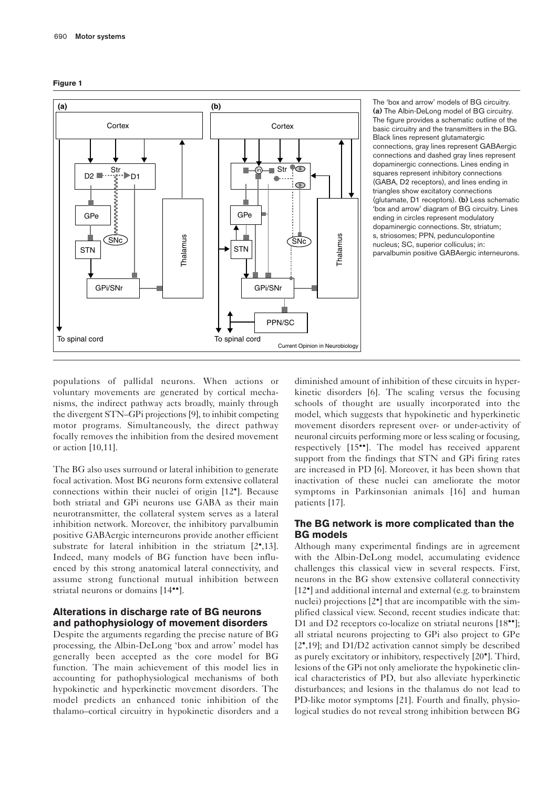



The 'box and arrow' models of BG circuitry. **(a)** The Albin-DeLong model of BG circuitry. The figure provides a schematic outline of the basic circuitry and the transmitters in the BG. Black lines represent glutamatergic connections, gray lines represent GABAergic connections and dashed gray lines represent dopaminergic connections. Lines ending in squares represent inhibitory connections (GABA, D2 receptors), and lines ending in triangles show excitatory connections (glutamate, D1 receptors). **(b)** Less schematic 'box and arrow' diagram of BG circuitry. Lines ending in circles represent modulatory dopaminergic connections. Str, striatum; s, striosomes; PPN, pedunculopontine nucleus; SC, superior colliculus; in: parvalbumin positive GABAergic interneurons.

populations of pallidal neurons. When actions or voluntary movements are generated by cortical mechanisms, the indirect pathway acts broadly, mainly through the divergent STN–GPi projections [9], to inhibit competing motor programs. Simultaneously, the direct pathway focally removes the inhibition from the desired movement or action [10,11].

The BG also uses surround or lateral inhibition to generate focal activation. Most BG neurons form extensive collateral connections within their nuclei of origin [12•]. Because both striatal and GPi neurons use GABA as their main neurotransmitter, the collateral system serves as a lateral inhibition network. Moreover, the inhibitory parvalbumin positive GABAergic interneurons provide another efficient substrate for lateral inhibition in the striatum [2°,13]. Indeed, many models of BG function have been influenced by this strong anatomical lateral connectivity, and assume strong functional mutual inhibition between striatal neurons or domains [14••].

# **Alterations in discharge rate of BG neurons and pathophysiology of movement disorders**

Despite the arguments regarding the precise nature of BG processing, the Albin-DeLong 'box and arrow' model has generally been accepted as the core model for BG function. The main achievement of this model lies in accounting for pathophysiological mechanisms of both hypokinetic and hyperkinetic movement disorders. The model predicts an enhanced tonic inhibition of the thalamo–cortical circuitry in hypokinetic disorders and a

diminished amount of inhibition of these circuits in hyperkinetic disorders [6]. The scaling versus the focusing schools of thought are usually incorporated into the model, which suggests that hypokinetic and hyperkinetic movement disorders represent over- or under-activity of neuronal circuits performing more or less scaling or focusing, respectively [15••]. The model has received apparent support from the findings that STN and GPi firing rates are increased in PD [6]. Moreover, it has been shown that inactivation of these nuclei can ameliorate the motor symptoms in Parkinsonian animals [16] and human patients [17].

# **The BG network is more complicated than the BG models**

Although many experimental findings are in agreement with the Albin-DeLong model, accumulating evidence challenges this classical view in several respects. First, neurons in the BG show extensive collateral connectivity [12<sup>•</sup>] and additional internal and external (e.g. to brainstem nuclei) projections [2<sup>•</sup>] that are incompatible with the simplified classical view. Second, recent studies indicate that: D1 and D2 receptors co-localize on striatal neurons [18<sup>••</sup>]; all striatal neurons projecting to GPi also project to GPe [2•,19]; and D1/D2 activation cannot simply be described as purely excitatory or inhibitory, respectively [20•]. Third, lesions of the GPi not only ameliorate the hypokinetic clinical characteristics of PD, but also alleviate hyperkinetic disturbances; and lesions in the thalamus do not lead to PD-like motor symptoms [21]. Fourth and finally, physiological studies do not reveal strong inhibition between BG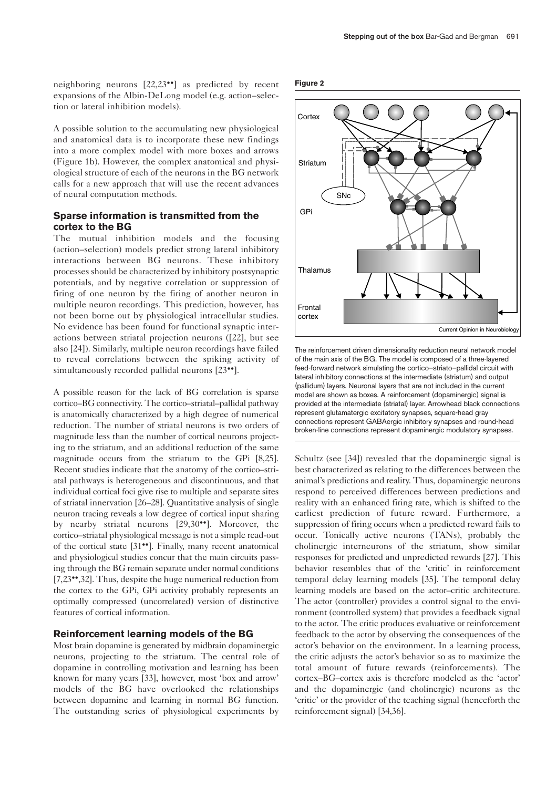neighboring neurons [22,23••] as predicted by recent expansions of the Albin-DeLong model (e.g. action–selection or lateral inhibition models).

A possible solution to the accumulating new physiological and anatomical data is to incorporate these new findings into a more complex model with more boxes and arrows (Figure 1b). However, the complex anatomical and physiological structure of each of the neurons in the BG network calls for a new approach that will use the recent advances of neural computation methods.

# **Sparse information is transmitted from the cortex to the BG**

The mutual inhibition models and the focusing (action–selection) models predict strong lateral inhibitory interactions between BG neurons. These inhibitory processes should be characterized by inhibitory postsynaptic potentials, and by negative correlation or suppression of firing of one neuron by the firing of another neuron in multiple neuron recordings. This prediction, however, has not been borne out by physiological intracellular studies. No evidence has been found for functional synaptic interactions between striatal projection neurons ([22], but see also [24]). Similarly, multiple neuron recordings have failed to reveal correlations between the spiking activity of simultaneously recorded pallidal neurons [23<sup>••</sup>].

A possible reason for the lack of BG correlation is sparse cortico–BG connectivity. The cortico–striatal–pallidal pathway is anatomically characterized by a high degree of numerical reduction. The number of striatal neurons is two orders of magnitude less than the number of cortical neurons projecting to the striatum, and an additional reduction of the same magnitude occurs from the striatum to the GPi [8,25]. Recent studies indicate that the anatomy of the cortico–striatal pathways is heterogeneous and discontinuous, and that individual cortical foci give rise to multiple and separate sites of striatal innervation [26–28]. Quantitative analysis of single neuron tracing reveals a low degree of cortical input sharing by nearby striatal neurons [29,30••]. Moreover, the cortico–striatal physiological message is not a simple read-out of the cortical state [31••]. Finally, many recent anatomical and physiological studies concur that the main circuits passing through the BG remain separate under normal conditions [7,23••,32]. Thus, despite the huge numerical reduction from the cortex to the GPi, GPi activity probably represents an optimally compressed (uncorrelated) version of distinctive features of cortical information.

## **Reinforcement learning models of the BG**

Most brain dopamine is generated by midbrain dopaminergic neurons, projecting to the striatum. The central role of dopamine in controlling motivation and learning has been known for many years [33], however, most 'box and arrow' models of the BG have overlooked the relationships between dopamine and learning in normal BG function. The outstanding series of physiological experiments by





The reinforcement driven dimensionality reduction neural network model of the main axis of the BG. The model is composed of a three-layered feed-forward network simulating the cortico–striato–pallidal circuit with lateral inhibitory connections at the intermediate (striatum) and output (pallidum) layers. Neuronal layers that are not included in the current model are shown as boxes. A reinforcement (dopaminergic) signal is provided at the intermediate (striatal) layer. Arrowhead black connections represent glutamatergic excitatory synapses, square-head gray connections represent GABAergic inhibitory synapses and round-head broken-line connections represent dopaminergic modulatory synapses.

Schultz (see [34]) revealed that the dopaminergic signal is best characterized as relating to the differences between the animal's predictions and reality. Thus, dopaminergic neurons respond to perceived differences between predictions and reality with an enhanced firing rate, which is shifted to the earliest prediction of future reward. Furthermore, a suppression of firing occurs when a predicted reward fails to occur. Tonically active neurons (TANs), probably the cholinergic interneurons of the striatum, show similar responses for predicted and unpredicted rewards [27]. This behavior resembles that of the 'critic' in reinforcement temporal delay learning models [35]. The temporal delay learning models are based on the actor–critic architecture. The actor (controller) provides a control signal to the environment (controlled system) that provides a feedback signal to the actor. The critic produces evaluative or reinforcement feedback to the actor by observing the consequences of the actor's behavior on the environment. In a learning process, the critic adjusts the actor's behavior so as to maximize the total amount of future rewards (reinforcements). The cortex–BG–cortex axis is therefore modeled as the 'actor' and the dopaminergic (and cholinergic) neurons as the 'critic' or the provider of the teaching signal (henceforth the reinforcement signal) [34,36].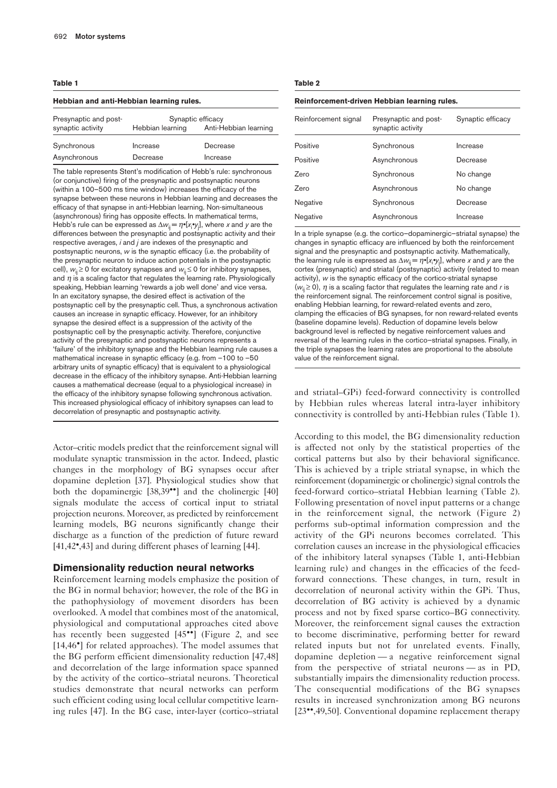## **Table 1**

#### **Hebbian and anti-Hebbian learning rules.**

| Presynaptic and post-<br>synaptic activity | Synaptic efficacy<br>Hebbian learning | Anti-Hebbian learning |
|--------------------------------------------|---------------------------------------|-----------------------|
| Synchronous                                | Increase                              | Decrease              |
| Asynchronous                               | Decrease                              | Increase              |

The table represents Stent's modification of Hebb's rule: synchronous (or conjunctive) firing of the presynaptic and postsynaptic neurons (within a 100–500 ms time window) increases the efficacy of the synapse between these neurons in Hebbian learning and decreases the efficacy of that synapse in anti-Hebbian learning. Non-simultaneous (asynchronous) firing has opposite effects. In mathematical terms, Hebb's rule can be expressed as  $\Delta w_{ij} = \eta \bullet [x_i \bullet y_j],$  where *x* and *y* are the differences between the presynaptic and postsynaptic activity and their respective averages, *i* and *j* are indexes of the presynaptic and postsynaptic neurons, *w* is the synaptic efficacy (i.e. the probability of the presynaptic neuron to induce action potentials in the postsynaptic cell),  $w_{ii} \ge 0$  for excitatory synapses and  $w_{ii} \le 0$  for inhibitory synapses, and  $\eta$  is a scaling factor that regulates the learning rate. Physiologically speaking, Hebbian learning 'rewards a job well done' and vice versa. In an excitatory synapse, the desired effect is activation of the postsynaptic cell by the presynaptic cell. Thus, a synchronous activation causes an increase in synaptic efficacy. However, for an inhibitory synapse the desired effect is a suppression of the activity of the postsynaptic cell by the presynaptic activity. Therefore, conjunctive activity of the presynaptic and postsynaptic neurons represents a 'failure' of the inhibitory synapse and the Hebbian learning rule causes a mathematical increase in synaptic efficacy (e.g. from –100 to –50 arbitrary units of synaptic efficacy) that is equivalent to a physiological decrease in the efficacy of the inhibitory synapse. Anti-Hebbian learning causes a mathematical decrease (equal to a physiological increase) in the efficacy of the inhibitory synapse following synchronous activation. This increased physiological efficacy of inhibitory synapses can lead to decorrelation of presynaptic and postsynaptic activity.

Actor–critic models predict that the reinforcement signal will modulate synaptic transmission in the actor. Indeed, plastic changes in the morphology of BG synapses occur after dopamine depletion [37]. Physiological studies show that both the dopaminergic [38,39••] and the cholinergic [40] signals modulate the access of cortical input to striatal projection neurons. Moreover, as predicted by reinforcement learning models, BG neurons significantly change their discharge as a function of the prediction of future reward [41,42•,43] and during different phases of learning [44].

## **Dimensionality reduction neural networks**

Reinforcement learning models emphasize the position of the BG in normal behavior; however, the role of the BG in the pathophysiology of movement disorders has been overlooked. A model that combines most of the anatomical, physiological and computational approaches cited above has recently been suggested [45<sup>••</sup>] (Figure 2, and see [14,46•] for related approaches). The model assumes that the BG perform efficient dimensionality reduction [47,48] and decorrelation of the large information space spanned by the activity of the cortico–striatal neurons. Theoretical studies demonstrate that neural networks can perform such efficient coding using local cellular competitive learning rules [47]. In the BG case, inter-layer (cortico–striatal

## **Table 2**

## **Reinforcement-driven Hebbian learning rules.**

| Reinforcement signal | Presynaptic and post-<br>synaptic activity | Synaptic efficacy |
|----------------------|--------------------------------------------|-------------------|
| Positive             | Synchronous                                | Increase          |
| Positive             | Asynchronous                               | Decrease          |
| Zero                 | Synchronous                                | No change         |
| Zero                 | Asynchronous                               | No change         |
| Negative             | Synchronous                                | Decrease          |
| Negative             | Asynchronous                               | Increase          |

In a triple synapse (e.g. the cortico–dopaminergic–striatal synapse) the changes in synaptic efficacy are influenced by both the reinforcement signal and the presynaptic and postsynaptic activity. Mathematically, the learning rule is expressed as  $\Delta w_{ij} = \eta \bullet [x_i \bullet y_j],$  where *x* and *y* are the cortex (presynaptic) and striatal (postsynaptic) activity (related to mean activity), *w* is the synaptic efficacy of the cortico-striatal synapse  $(w<sub>ii</sub> \ge 0)$ ,  $\eta$  is a scaling factor that regulates the learning rate and *r* is the reinforcement signal. The reinforcement control signal is positive, enabling Hebbian learning, for reward-related events and zero, clamping the efficacies of BG synapses, for non reward-related events (baseline dopamine levels). Reduction of dopamine levels below background level is reflected by negative reinforcement values and reversal of the learning rules in the cortico–striatal synapses. Finally, in the triple synapses the learning rates are proportional to the absolute value of the reinforcement signal.

and striatal–GPi) feed-forward connectivity is controlled by Hebbian rules whereas lateral intra-layer inhibitory connectivity is controlled by anti-Hebbian rules (Table 1).

According to this model, the BG dimensionality reduction is affected not only by the statistical properties of the cortical patterns but also by their behavioral significance. This is achieved by a triple striatal synapse, in which the reinforcement (dopaminergic or cholinergic) signal controls the feed-forward cortico–striatal Hebbian learning (Table 2). Following presentation of novel input patterns or a change in the reinforcement signal, the network (Figure 2) performs sub-optimal information compression and the activity of the GPi neurons becomes correlated. This correlation causes an increase in the physiological efficacies of the inhibitory lateral synapses (Table 1, anti-Hebbian learning rule) and changes in the efficacies of the feedforward connections. These changes, in turn, result in decorrelation of neuronal activity within the GPi. Thus, decorrelation of BG activity is achieved by a dynamic process and not by fixed sparse cortico–BG connectivity. Moreover, the reinforcement signal causes the extraction to become discriminative, performing better for reward related inputs but not for unrelated events. Finally, dopamine depletion — a negative reinforcement signal from the perspective of striatal neurons — as in PD, substantially impairs the dimensionality reduction process. The consequential modifications of the BG synapses results in increased synchronization among BG neurons [23••,49,50]. Conventional dopamine replacement therapy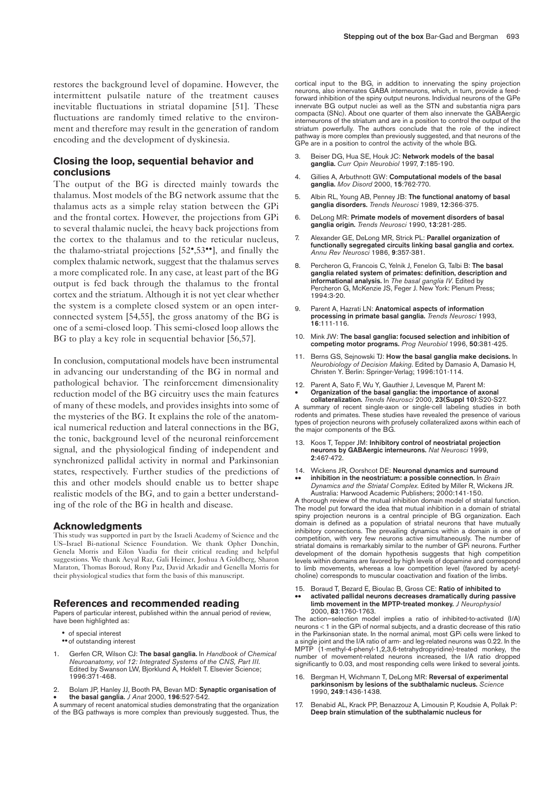restores the background level of dopamine. However, the intermittent pulsatile nature of the treatment causes inevitable fluctuations in striatal dopamine [51]. These fluctuations are randomly timed relative to the environment and therefore may result in the generation of random encoding and the development of dyskinesia.

# **Closing the loop, sequential behavior and conclusions**

The output of the BG is directed mainly towards the thalamus. Most models of the BG network assume that the thalamus acts as a simple relay station between the GPi and the frontal cortex. However, the projections from GPi to several thalamic nuclei, the heavy back projections from the cortex to the thalamus and to the reticular nucleus, the thalamo-striatal projections [52•,53••], and finally the complex thalamic network, suggest that the thalamus serves a more complicated role. In any case, at least part of the BG output is fed back through the thalamus to the frontal cortex and the striatum. Although it is not yet clear whether the system is a complete closed system or an open interconnected system [54,55], the gross anatomy of the BG is one of a semi-closed loop. This semi-closed loop allows the BG to play a key role in sequential behavior [56,57].

In conclusion, computational models have been instrumental in advancing our understanding of the BG in normal and pathological behavior. The reinforcement dimensionality reduction model of the BG circuitry uses the main features of many of these models, and provides insights into some of the mysteries of the BG. It explains the role of the anatomical numerical reduction and lateral connections in the BG, the tonic, background level of the neuronal reinforcement signal, and the physiological finding of independent and synchronized pallidal activity in normal and Parkinsonian states, respectively. Further studies of the predictions of this and other models should enable us to better shape realistic models of the BG, and to gain a better understanding of the role of the BG in health and disease.

## **Acknowledgments**

This study was supported in part by the Israeli Academy of Science and the US–Israel Bi-national Science Foundation. We thank Opher Donchin, Genela Morris and Eilon Vaadia for their critical reading and helpful suggestions. We thank Aeyal Raz, Gali Heimer, Joshua A Goldberg, Sharon Maraton, Thomas Boroud, Rony Paz, David Arkadir and Genella Morris for their physiological studies that form the basis of this manuscript.

### **References and recommended reading**

Papers of particular interest, published within the annual period of review, have been highlighted as:

- of special interest
- •• of outstanding interest
- 1. Gerfen CR, Wilson CJ: **The basal ganglia.** In *Handbook of Chemical Neuroanatomy, vol 12: Integrated Systems of the CNS, Part III*. Edited by Swanson LW, Bjorklund A, Hokfelt T. Elsevier Science; 1996:371-468.
- 2. Bolam JP, Hanley JJ, Booth PA, Bevan MD: **Synaptic organisation of** • **the basal ganglia.** *J Anat* 2000, **196**:527-542.

A summary of recent anatomical studies demonstrating that the organization of the BG pathways is more complex than previously suggested. Thus, the cortical input to the BG, in addition to innervating the spiny projection neurons, also innervates GABA interneurons, which, in turn, provide a feedforward inhibition of the spiny output neurons. Individual neurons of the GPe innervate BG output nuclei as well as the STN and substantia nigra pars compacta (SNc). About one quarter of them also innervate the GABAergic interneurons of the striatum and are in a position to control the output of the striatum powerfully. The authors conclude that the role of the indirect pathway is more complex than previously suggested, and that neurons of the GPe are in a position to control the activity of the whole BG.

- 3. Beiser DG, Hua SE, Houk JC: **Network models of the basal ganglia.** *Curr Opin Neurobiol* 1997, **7**:185-190.
- 4. Gillies A, Arbuthnott GW: **Computational models of the basal ganglia.** *Mov Disord* 2000, **15**:762-770.
- 5. Albin RL, Young AB, Penney JB: **The functional anatomy of basal ganglia disorders.** *Trends Neurosci* 1989, **12**:366-375.
- 6. DeLong MR: **Primate models of movement disorders of basal ganglia origin.** *Trends Neurosci* 1990, **13**:281-285.
- 7. Alexander GE, DeLong MR, Strick PL: **Parallel organization of functionally segregated circuits linking basal ganglia and cortex.** *Annu Rev Neurosci* 1986, **9**:357-381.
- 8. Percheron G, Francois C, Yelnik J, Fenelon G, Talbi B: **The basal ganglia related system of primates: definition, description and informational analysis.** In *The basal ganglia IV*. Edited by Percheron G, McKenzie JS, Feger J. New York: Plenum Press; 1994:3-20.
- 9. Parent A, Hazrati LN: **Anatomical aspects of information processing in primate basal ganglia.** *Trends Neurosci* 1993, **16**:111-116.
- 10. Mink JW: **The basal ganglia: focused selection and inhibition of competing motor programs.** *Prog Neurobiol* 1996, **50**:381-425.
- 11. Berns GS, Sejnowski TJ: **How the basal ganglia make decisions.** In *Neurobiology of Decision Making*. Edited by Damasio A, Damasio H, Christen Y. Berlin: Springer-Verlag; 1996:101-114.
- 12. Parent A, Sato F, Wu Y, Gauthier J, Levesque M, Parent M: • **Organization of the basal ganglia: the importance of axonal collateralization.** *Trends Neurosci* 2000, **23(Suppl 10)**:S20-S27.

A summary of recent single-axon or single-cell labeling studies in both rodents and primates. These studies have revealed the presence of various types of projection neurons with profusely collateralized axons within each of the major components of the BG.

- 13. Koos T, Tepper JM: **Inhibitory control of neostriatal projection neurons by GABAergic interneurons.** *Nat Neurosci* 1999, **2**:467-472.
- 14. Wickens JR, Oorshcot DE: **Neuronal dynamics and surround**
- •• **inhibition in the neostriatum: a possible connection.** In *Brain Dynamics and the Striatal Complex*. Edited by Miller R, Wickens JR. Australia: Harwood Academic Publishers; 2000:141-150.

A thorough review of the mutual inhibition domain model of striatal function. The model put forward the idea that mutual inhibition in a domain of striatal spiny projection neurons is a central principle of BG organization. Each domain is defined as a population of striatal neurons that have mutually inhibitory connections. The prevailing dynamics within a domain is one of competition, with very few neurons active simultaneously. The number of striatal domains is remarkably similar to the number of GPi neurons. Further development of the domain hypothesis suggests that high competition levels within domains are favored by high levels of dopamine and correspond to limb movements, whereas a low competition level (favored by acetylcholine) corresponds to muscular coactivation and fixation of the limbs.

15. Boraud T, Bezard E, Bioulac B, Gross CE: **Ratio of inhibited to** •• **activated pallidal neurons decreases dramatically during passive limb movement in the MPTP-treated monkey.** *J Neurophysiol* 2000, **83**:1760-1763.

The action–selection model implies a ratio of inhibited-to-activated (I/A) neurons < 1 in the GPi of normal subjects, and a drastic decrease of this ratio in the Parkinsonian state. In the normal animal, most GPi cells were linked to a single joint and the I/A ratio of arm- and leg-related neurons was 0.22. In the MPTP (1-methyl-4-phenyl-1,2,3,6-tetrahydropyridine)-treated monkey, the number of movement-related neurons increased, the I/A ratio dropped significantly to 0.03, and most responding cells were linked to several joints.

- 16. Bergman H, Wichmann T, DeLong MR: **Reversal of experimental parkinsonism by lesions of the subthalamic nucleus.** *Science* 1990, **249**:1436-1438.
- 17. Benabid AL, Krack PP, Benazzouz A, Limousin P, Koudsie A, Pollak P: **Deep brain stimulation of the subthalamic nucleus for**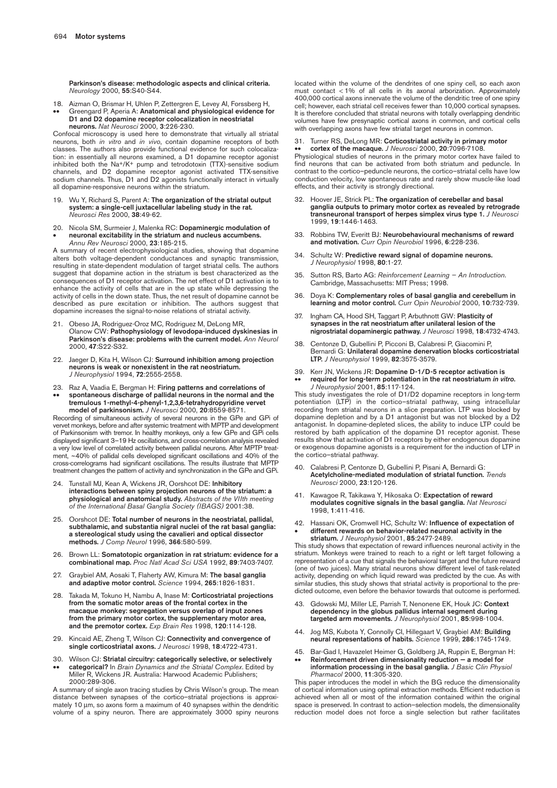**Parkinson's disease: methodologic aspects and clinical criteria.** *Neurology* 2000, **55**:S40-S44.

- 18. Aizman O, Brismar H, Uhlen P, Zettergren E, Levey AI, Forssberg H,
- •• Greengard P, Aperia A: **Anatomical and physiological evidence for D1 and D2 dopamine receptor colocalization in neostriatal neurons.** *Nat Neurosci* 2000, **3**:226-230.

Confocal microscopy is used here to demonstrate that virtually all striatal neurons, both *in vitro* and *in vivo*, contain dopamine receptors of both classes. The authors also provide functional evidence for such colocalization: in essentially all neurons examined, a D1 dopamine receptor agonist inhibited both the Na+/K+ pump and tetrodotoxin (TTX)-sensitive sodium channels, and D2 dopamine receptor agonist activated TTX-sensitive solium channels. Thus, D1 and D2 agonists functionally interact in virtually all dopamine-responsive neurons within the striatum.

- 19. Wu Y, Richard S, Parent A: **The organization of the striatal output system: a single-cell juxtacellular labeling study in the rat.** *Neurosci Res* 2000, **38**:49-62.
- 20. Nicola SM, Surmeier J, Malenka RC: **Dopaminergic modulation of** • **neuronal excitability in the striatum and nucleus accumbens.** *Annu Rev Neurosci* 2000, **23**:185-215.

A summary of recent electrophysiological studies, showing that dopamine alters both voltage-dependent conductances and synaptic transmission, resulting in state-dependent modulation of target striatal cells. The authors suggest that dopamine action in the striatum is best characterized as the consequences of D1 receptor activation. The net effect of D1 activation is to enhance the activity of cells that are in the up state while depressing the activity of cells in the down state. Thus, the net result of dopamine cannot be described as pure excitation or inhibition. The authors suggest that dopamine increases the signal-to-noise relations of striatal activity.

- 21. Obeso JA, Rodriguez-Oroz MC, Rodriguez M, DeLong MR, Olanow CW: **Pathophysiology of levodopa-induced dyskinesias in Parkinson's disease: problems with the current model.** *Ann Neurol* 2000, **47**:S22-S32.
- 22. Jaeger D, Kita H, Wilson CJ: **Surround inhibition among projection neurons is weak or nonexistent in the rat neostriatum.** *J Neurophysiol* 1994, **72**:2555-2558.
- 23. Raz A, Vaadia E, Bergman H: **Firing patterns and correlations of**
- •• **spontaneous discharge of pallidal neurons in the normal and the tremulous 1-methyl-4-phenyl-1,2,3,6-tetrahydropyridine vervet model of parkinsonism.** *J Neurosci* 2000, **20**:8559-8571.

Recording of simultaneous activity of several neurons in the GPe and GPi of vervet monkeys, before and after systemic treatment with MPTP and development of Parkinsonism with tremor. In healthy monkeys, only a few GPe and GPi cells displayed significant 3–19 Hz oscillations, and cross-correlation analysis revealed a very low level of correlated activity between pallidal neurons. After MPTP treatment, ~40% of pallidal cells developed significant oscillations and 40% of the cross-correlograms had significant oscillations. The results illustrate that MPTP treatment changes the pattern of activity and synchronization in the GPe and GPi.

- 24. Tunstall MJ, Kean A, Wickens JR, Oorshcot DE: **Inhibitory interactions between spiny projection neurons of the striatum: a physiological and anatomical study.** *Abstracts of the VIIth meeting of the International Basal Ganglia Society (IBAGS)* 2001:38.
- 25. Oorshcot DE: **Total number of neurons in the neostriatal, pallidal, subthalamic, and substantia nigral nuclei of the rat basal ganglia: a stereological study using the cavalieri and optical dissector methods.** *J Comp Neurol* 1996, **366**:580-599.
- 26. Brown LL: **Somatotopic organization in rat striatum: evidence for a combinational map.** *Proc Natl Acad Sci USA* 1992, **89**:7403-7407.
- 27. Graybiel AM, Aosaki T, Flaherty AW, Kimura M: **The basal ganglia and adaptive motor control.** *Science* 1994, **265**:1826-1831.
- 28. Takada M, Tokuno H, Nambu A, Inase M: **Corticostriatal projections from the somatic motor areas of the frontal cortex in the macaque monkey: segregation versus overlap of input zones from the primary motor cortex, the supplementary motor area, and the premotor cortex.** *Exp Brain Res* 1998, **120**:114-128.
- 29. Kincaid AE, Zheng T, Wilson CJ: **Connectivity and convergence of single corticostriatal axons.** *J Neurosci* 1998, **18**:4722-4731.
- 30. Wilson CJ: **Striatal circuitry: categorically selective, or selectively**
- •• **categorical?** In *Brain Dynamics and the Striatal Complex*. Edited by Miller R, Wickens JR. Australia: Harwood Academic Publishers; 2000:289-306.

A summary of single axon tracing studies by Chris Wilson's group. The mean distance between synapses of the cortico–striatal projections is approxi-mately 10 µm, so axons form a maximum of 40 synapses within the dendritic volume of a spiny neuron. There are approximately 3000 spiny neurons

located within the volume of the dendrites of one spiny cell, so each axon must contact < 1% of all cells in its axonal arborization. Approximately 400,000 cortical axons innervate the volume of the dendritic tree of one spiny cell; however, each striatal cell receives fewer than 10,000 cortical synapses. It is therefore concluded that striatal neurons with totally overlapping dendritic volumes have few presynaptic cortical axons in common, and cortical cells with overlapping axons have few striatal target neurons in common.

31. Turner RS, DeLong MR: **Corticostriatal activity in primary motor** •• **cortex of the macaque.** *J Neurosci* 2000, **20**:7096-7108.

Physiological studies of neurons in the primary motor cortex have failed to find neurons that can be activated from both striatum and peduncle. In contrast to the cortico–peduncle neurons, the cortico–striatal cells have low conduction velocity, low spontaneous rate and rarely show muscle-like load effects, and their activity is strongly directional.

- 32. Hoover JE, Strick PL: **The organization of cerebellar and basal ganglia outputs to primary motor cortex as revealed by retrograde transneuronal transport of herpes simplex virus type 1.** *J Neurosci* 1999, **19**:1446-1463.
- 33. Robbins TW, Everitt BJ: **Neurobehavioural mechanisms of reward and motivation.** *Curr Opin Neurobiol* 1996, **6**:228-236.
- 34. Schultz W: **Predictive reward signal of dopamine neurons.** *J Neurophysiol* 1998, **80**:1-27.
- Sutton RS, Barto AG: *Reinforcement Learning An Introduction*. Cambridge, Massachusetts: MIT Press; 1998.
- 36. Doya K: **Complementary roles of basal ganglia and cerebellum in learning and motor control.** *Curr Opin Neurobiol* 2000, **10**:732-739.
- 37. Ingham CA, Hood SH, Taggart P, Arbuthnott GW: **Plasticity of synapses in the rat neostriatum after unilateral lesion of the nigrostriatal dopaminergic pathway.** *J Neurosci* 1998, **18**:4732-4743.
- 38. Centonze D, Gubellini P, Picconi B, Calabresi P, Giacomini P, Bernardi G: **Unilateral dopamine denervation blocks corticostriatal LTP.** *J Neurophysiol* 1999, **82**:3575-3579.
- 39. Kerr JN, Wickens JR: **Dopamine D-1/D-5 receptor activation is**
- •• **required for long-term potentiation in the rat neostriatum** *in vitro***.** *J Neurophysiol* 2001, **85**:117-124.

This study investigates the role of D1/D2 dopamine receptors in long-term potentiation (LTP) in the cortico–striatal pathway, using intracellular recording from striatal neurons in a slice preparation. LTP was blocked by dopamine depletion and by a D1 antagonist but was not blocked by a D2 antagonist. In dopamine-depleted slices, the ability to induce LTP could be restored by bath application of the dopamine D1 receptor agonist. These results show that activation of D1 receptors by either endogenous dopamine or exogenous dopamine agonists is a requirement for the induction of LTP in the cortico–striatal pathway.

- 40. Calabresi P, Centonze D, Gubellini P, Pisani A, Bernardi G: **Acetylcholine-mediated modulation of striatal function.** *Trends Neurosci* 2000, **23**:120-126.
- 41. Kawagoe R, Takikawa Y, Hikosaka O: **Expectation of reward modulates cognitive signals in the basal ganglia.** *Nat Neurosci* 1998, **1**:411-416.
- 42. Hassani OK, Cromwell HC, Schultz W: **Influence of expectation of** • **different rewards on behavior-related neuronal activity in the striatum.** *J Neurophysiol* 2001, **85**:2477-2489.

This study shows that expectation of reward influences neuronal activity in the striatum. Monkeys were trained to reach to a right or left target following a representation of a cue that signals the behavioral target and the future reward (one of two juices). Many striatal neurons show different level of task-related activity, depending on which liquid reward was predicted by the cue. As with similar studies, this study shows that striatal activity is proportional to the predicted outcome, even before the behavior towards that outcome is performed.

- 43. Gdowski MJ, Miller LE, Parrish T, Nenonene EK, Houk JC: **Context dependency in the globus pallidus internal segment during targeted arm movements.** *J Neurophysiol* 2001, **85**:998-1004.
- 44. Jog MS, Kubota Y, Connolly CI, Hillegaart V, Graybiel AM: **Building neural representations of habits.** *Science* 1999, **286**:1745-1749.
- 45. Bar-Gad I, Havazelet Heimer G, Goldberg JA, Ruppin E, Bergman H: •• **Reinforcement driven dimensionality reduction a model for information processing in the basal ganglia.** *J Basic Clin Physiol Pharmacol* 2000, **11**:305-320.

This paper introduces the model in which the BG reduce the dimensionality of cortical information using optimal extraction methods. Efficient reduction is achieved when all or most of the information contained within the original space is preserved. In contrast to action–selection models, the dimensionality reduction model does not force a single selection but rather facilitates